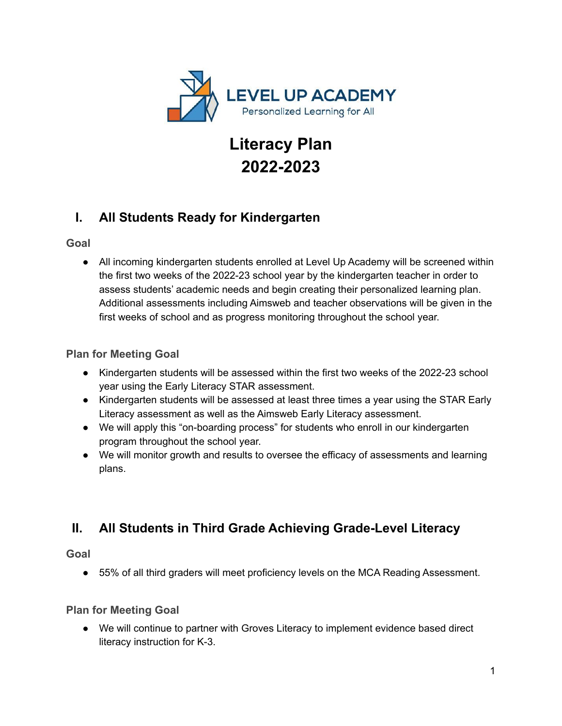

# **Literacy Plan 2022-2023**

# **I. All Students Ready for Kindergarten**

#### **Goal**

● All incoming kindergarten students enrolled at Level Up Academy will be screened within the first two weeks of the 2022-23 school year by the kindergarten teacher in order to assess students' academic needs and begin creating their personalized learning plan. Additional assessments including Aimsweb and teacher observations will be given in the first weeks of school and as progress monitoring throughout the school year.

### **Plan for Meeting Goal**

- Kindergarten students will be assessed within the first two weeks of the 2022-23 school year using the Early Literacy STAR assessment.
- Kindergarten students will be assessed at least three times a year using the STAR Early Literacy assessment as well as the Aimsweb Early Literacy assessment.
- We will apply this "on-boarding process" for students who enroll in our kindergarten program throughout the school year.
- We will monitor growth and results to oversee the efficacy of assessments and learning plans.

# **II. All Students in Third Grade Achieving Grade-Level Literacy**

### **Goal**

● 55% of all third graders will meet proficiency levels on the MCA Reading Assessment.

### **Plan for Meeting Goal**

● We will continue to partner with Groves Literacy to implement evidence based direct literacy instruction for K-3.